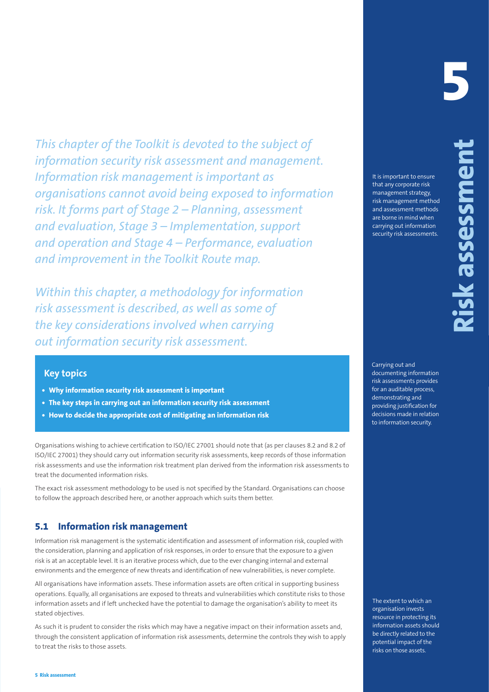This chapter of the Tololki Is developed to the subject of the subject of the subsection of the subsection of the subsection of the subsection of the subsection of the state of the state of the state of the state of the s *This chapter of the Toolkit is devoted to the subject of information security risk assessment and management. Information risk management is important as organisations cannot avoid being exposed to information risk. It forms part of Stage 2 – Planning, assessment and evaluation, Stage 3 – Implementation, support and operation and Stage 4 – Performance, evaluation and improvement in the Toolkit Route map.*

*Within this chapter, a methodology for information risk assessment is described, as well as some of the key considerations involved when carrying out information security risk assessment.*

# **Key topics**

- **• Why information security risk assessment is important**
- **• The key steps in carrying out an information security risk assessment**
- **• How to decide the appropriate cost of mitigating an information risk**

Organisations wishing to achieve certification to ISO/IEC 27001 should note that (as per clauses 8.2 and 8.2 of ISO/IEC 27001) they should carry out information security risk assessments, keep records of those information risk assessments and use the information risk treatment plan derived from the information risk assessments to treat the documented information risks.

The exact risk assessment methodology to be used is not specified by the Standard. Organisations can choose to follow the approach described here, or another approach which suits them better.

# **5.1 Information risk management**

Information risk management is the systematic identification and assessment of information risk, coupled with the consideration, planning and application of risk responses, in order to ensure that the exposure to a given risk is at an acceptable level. It is an iterative process which, due to the ever changing internal and external environments and the emergence of new threats and identification of new vulnerabilities, is never complete.

All organisations have information assets. These information assets are often critical in supporting business operations. Equally, all organisations are exposed to threats and vulnerabilities which constitute risks to those information assets and if left unchecked have the potential to damage the organisation's ability to meet its stated objectives.

As such it is prudent to consider the risks which may have a negative impact on their information assets and, through the consistent application of information risk assessments, determine the controls they wish to apply to treat the risks to those assets.

# **5**

It is important to ensure that any corporate risk management strategy, risk management method and assessment methods are borne in mind when carrying out information security risk assessments.

Carrying out and documenting information risk assessments provides for an auditable process, demonstrating and providing justification for decisions made in relation to information security.

The extent to which an organisation invests resource in protecting its information assets should be directly related to the potential impact of the risks on those assets.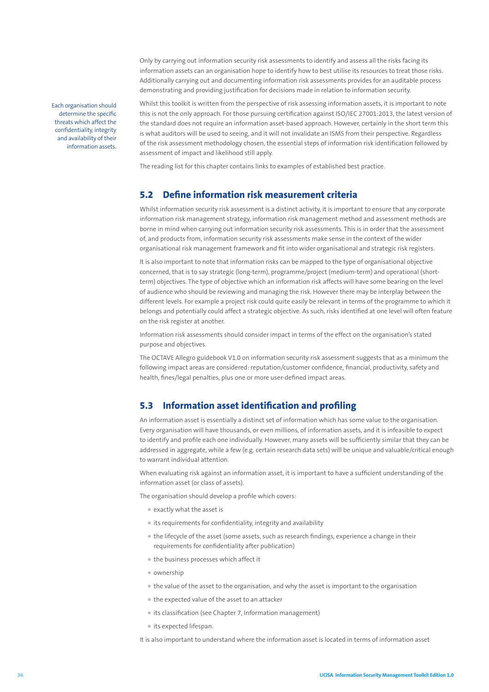Only by carrying out information security risk assessments to identify and assess all the risks facing its information assets can an organisation hope to identify how to best utilise its resources to treat those risks. Additionally carrying out and documenting information risk assessments provides for an auditable process demonstrating and providing justification for decisions made in relation to information security.

Each organisation should determine the specific threats which affect the confidentiality, integrity and availability of their information assets.

Whilst this toolkit is written from the perspective of risk assessing information assets, it is important to note this is not the only approach. For those pursuing certification against ISO/IEC 27001:2013, the latest version of the standard does not require an information asset-based approach. However, certainly in the short term this is what auditors will be used to seeing, and it will not invalidate an ISMS from their perspective. Regardless of the risk assessment methodology chosen, the essential steps of information risk identification followed by assessment of impact and likelihood still apply.

The reading list for this chapter contains links to examples of established best practice.

# **5.2 Define information risk measurement criteria**

Whilst information security risk assessment is a distinct activity, it is important to ensure that any corporate information risk management strategy, information risk management method and assessment methods are borne in mind when carrying out information security risk assessments. This is in order that the assessment of, and products from, information security risk assessments make sense in the context of the wider organisational risk management framework and fit into wider organisational and strategic risk registers.

It is also important to note that information risks can be mapped to the type of organisational objective concerned, that is to say strategic (long-term), programme/project (medium-term) and operational (shortterm) objectives. The type of objective which an information risk affects will have some bearing on the level of audience who should be reviewing and managing the risk. However there may be interplay between the different levels. For example a project risk could quite easily be relevant in terms of the programme to which it belongs and potentially could affect a strategic objective. As such, risks identified at one level will often feature on the risk register at another.

Information risk assessments should consider impact in terms of the effect on the organisation's stated purpose and objectives.

The OCTAVE Allegro guidebook V1.0 on information security risk assessment suggests that as a minimum the following impact areas are considered: reputation/customer confidence, financial, productivity, safety and health, fines/legal penalties, plus one or more user-defined impact areas.

## **5.3 Information asset identification and profiling**

An information asset is essentially a distinct set of information which has some value to the organisation. Every organisation will have thousands, or even millions, of information assets, and it is infeasible to expect to identify and profile each one individually. However, many assets will be sufficiently similar that they can be addressed in aggregate, while a few (e.g. certain research data sets) will be unique and valuable/critical enough to warrant individual attention.

When evaluating risk against an information asset, it is important to have a sufficient understanding of the information asset (or class of assets).

The organisation should develop a profile which covers:

- exactly what the asset is
- its requirements for confidentiality, integrity and availability
- the lifecycle of the asset (some assets, such as research findings, experience a change in their requirements for confidentiality after publication)
- the business processes which affect it
- ownership
- the value of the asset to the organisation, and why the asset is important to the organisation
- the expected value of the asset to an attacker
- its classification (see Chapter 7, Information management)
- its expected lifespan.

It is also important to understand where the information asset is located in terms of information asset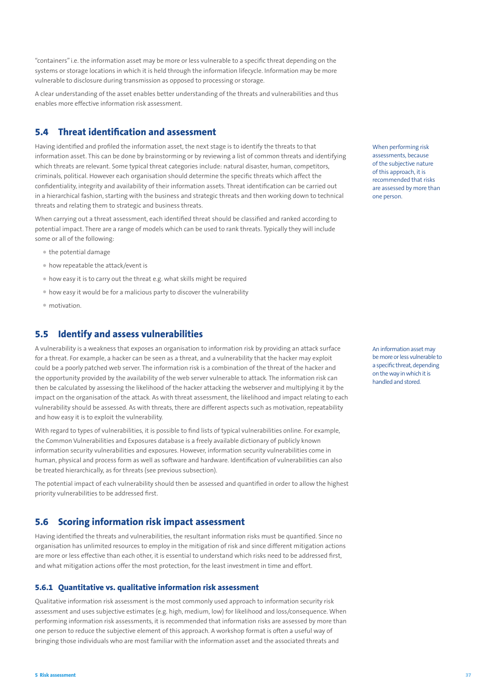"containers" i.e. the information asset may be more or less vulnerable to a specific threat depending on the systems or storage locations in which it is held through the information lifecycle. Information may be more vulnerable to disclosure during transmission as opposed to processing or storage.

A clear understanding of the asset enables better understanding of the threats and vulnerabilities and thus enables more effective information risk assessment.

# **5.4 Threat identification and assessment**

Having identified and profiled the information asset, the next stage is to identify the threats to that information asset. This can be done by brainstorming or by reviewing a list of common threats and identifying which threats are relevant. Some typical threat categories include: natural disaster, human, competitors, criminals, political. However each organisation should determine the specific threats which affect the confidentiality, integrity and availability of their information assets. Threat identification can be carried out in a hierarchical fashion, starting with the business and strategic threats and then working down to technical threats and relating them to strategic and business threats.

When carrying out a threat assessment, each identified threat should be classified and ranked according to potential impact. There are a range of models which can be used to rank threats. Typically they will include some or all of the following:

- the potential damage
- how repeatable the attack/event is
- how easy it is to carry out the threat e.g. what skills might be required
- how easy it would be for a malicious party to discover the vulnerability
- motivation.

# **5.5 Identify and assess vulnerabilities**

A vulnerability is a weakness that exposes an organisation to information risk by providing an attack surface for a threat. For example, a hacker can be seen as a threat, and a vulnerability that the hacker may exploit could be a poorly patched web server. The information risk is a combination of the threat of the hacker and the opportunity provided by the availability of the web server vulnerable to attack. The information risk can then be calculated by assessing the likelihood of the hacker attacking the webserver and multiplying it by the impact on the organisation of the attack. As with threat assessment, the likelihood and impact relating to each vulnerability should be assessed. As with threats, there are different aspects such as motivation, repeatability and how easy it is to exploit the vulnerability.

With regard to types of vulnerabilities, it is possible to find lists of typical vulnerabilities online. For example, the Common Vulnerabilities and Exposures database is a freely available dictionary of publicly known information security vulnerabilities and exposures. However, information security vulnerabilities come in human, physical and process form as well as software and hardware. Identification of vulnerabilities can also be treated hierarchically, as for threats (see previous subsection).

The potential impact of each vulnerability should then be assessed and quantified in order to allow the highest priority vulnerabilities to be addressed first.

# **5.6 Scoring information risk impact assessment**

Having identified the threats and vulnerabilities, the resultant information risks must be quantified. Since no organisation has unlimited resources to employ in the mitigation of risk and since different mitigation actions are more or less effective than each other, it is essential to understand which risks need to be addressed first, and what mitigation actions offer the most protection, for the least investment in time and effort.

### **5.6.1 Quantitative vs. qualitative information risk assessment**

Qualitative information risk assessment is the most commonly used approach to information security risk assessment and uses subjective estimates (e.g. high, medium, low) for likelihood and loss/consequence. When performing information risk assessments, it is recommended that information risks are assessed by more than one person to reduce the subjective element of this approach. A workshop format is often a useful way of bringing those individuals who are most familiar with the information asset and the associated threats and

When performing risk assessments, because of the subjective nature of this approach, it is recommended that risks are assessed by more than one person.

An information asset may be more or less vulnerable to a specific threat, depending on the way in which it is handled and stored.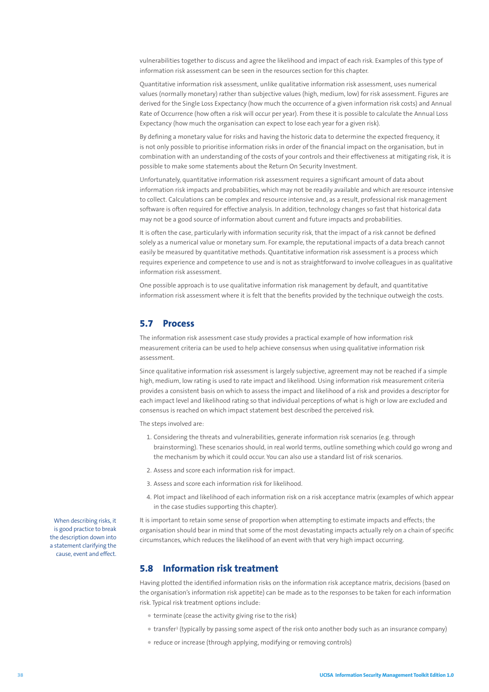vulnerabilities together to discuss and agree the likelihood and impact of each risk. Examples of this type of information risk assessment can be seen in the resources section for this chapter.

Quantitative information risk assessment, unlike qualitative information risk assessment, uses numerical values (normally monetary) rather than subjective values (high, medium, low) for risk assessment. Figures are derived for the Single Loss Expectancy (how much the occurrence of a given information risk costs) and Annual Rate of Occurrence (how often a risk will occur per year). From these it is possible to calculate the Annual Loss Expectancy (how much the organisation can expect to lose each year for a given risk).

By defining a monetary value for risks and having the historic data to determine the expected frequency, it is not only possible to prioritise information risks in order of the financial impact on the organisation, but in combination with an understanding of the costs of your controls and their effectiveness at mitigating risk, it is possible to make some statements about the Return On Security Investment.

Unfortunately, quantitative information risk assessment requires a significant amount of data about information risk impacts and probabilities, which may not be readily available and which are resource intensive to collect. Calculations can be complex and resource intensive and, as a result, professional risk management software is often required for effective analysis. In addition, technology changes so fast that historical data may not be a good source of information about current and future impacts and probabilities.

It is often the case, particularly with information security risk, that the impact of a risk cannot be defined solely as a numerical value or monetary sum. For example, the reputational impacts of a data breach cannot easily be measured by quantitative methods. Quantitative information risk assessment is a process which requires experience and competence to use and is not as straightforward to involve colleagues in as qualitative information risk assessment.

One possible approach is to use qualitative information risk management by default, and quantitative information risk assessment where it is felt that the benefits provided by the technique outweigh the costs.

### **5.7 Process**

The information risk assessment case study provides a practical example of how information risk measurement criteria can be used to help achieve consensus when using qualitative information risk assessment.

Since qualitative information risk assessment is largely subjective, agreement may not be reached if a simple high, medium, low rating is used to rate impact and likelihood. Using information risk measurement criteria provides a consistent basis on which to assess the impact and likelihood of a risk and provides a descriptor for each impact level and likelihood rating so that individual perceptions of what is high or low are excluded and consensus is reached on which impact statement best described the perceived risk.

The steps involved are:

- 1. Considering the threats and vulnerabilities, generate information risk scenarios (e.g. through brainstorming). These scenarios should, in real world terms, outline something which could go wrong and the mechanism by which it could occur. You can also use a standard list of risk scenarios.
- 2. Assess and score each information risk for impact.
- 3. Assess and score each information risk for likelihood.
- 4. Plot impact and likelihood of each information risk on a risk acceptance matrix (examples of which appear in the case studies supporting this chapter).

It is important to retain some sense of proportion when attempting to estimate impacts and effects; the organisation should bear in mind that some of the most devastating impacts actually rely on a chain of specific circumstances, which reduces the likelihood of an event with that very high impact occurring.

### **5.8 Information risk treatment**

Having plotted the identified information risks on the information risk acceptance matrix, decisions (based on the organisation's information risk appetite) can be made as to the responses to be taken for each information risk. Typical risk treatment options include:

- terminate (cease the activity giving rise to the risk)
- transfer1 (typically by passing some aspect of the risk onto another body such as an insurance company)
- reduce or increase (through applying, modifying or removing controls)

When describing risks, it is good practice to break the description down into a statement clarifying the cause, event and effect.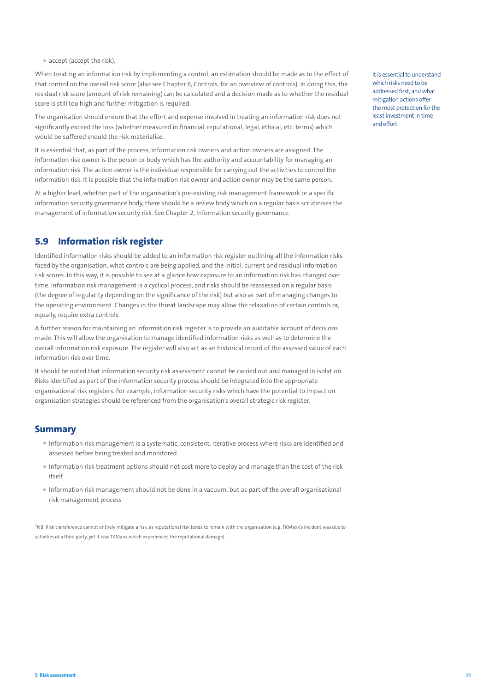• accept (accept the risk).

When treating an information risk by implementing a control, an estimation should be made as to the effect of that control on the overall risk score (also see Chapter 6, Controls, for an overview of controls). In doing this, the residual risk score (amount of risk remaining) can be calculated and a decision made as to whether the residual score is still too high and further mitigation is required.

The organisation should ensure that the effort and expense involved in treating an information risk does not significantly exceed the loss (whether measured in financial, reputational, legal, ethical, etc. terms) which would be suffered should the risk materialise.

It is essential that, as part of the process, information risk owners and action owners are assigned. The information risk owner is the person or body which has the authority and accountability for managing an information risk. The action owner is the individual responsible for carrying out the activities to control the information risk. It is possible that the information risk owner and action owner may be the same person.

At a higher level, whether part of the organisation's pre-existing risk management framework or a specific information security governance body, there should be a review body which on a regular basis scrutinises the management of information security risk. See Chapter 2, Information security governance.

# **5.9 Information risk register**

Identified information risks should be added to an information risk register outlining all the information risks faced by the organisation, what controls are being applied, and the initial, current and residual information risk scores. In this way, it is possible to see at a glance how exposure to an information risk has changed over time. Information risk management is a cyclical process, and risks should be reassessed on a regular basis (the degree of regularity depending on the significance of the risk) but also as part of managing changes to the operating environment. Changes in the threat landscape may allow the relaxation of certain controls or, equally, require extra controls.

A further reason for maintaining an information risk register is to provide an auditable account of decisions made. This will allow the organisation to manage identified information risks as well as to determine the overall information risk exposure. The register will also act as an historical record of the assessed value of each information risk over time.

It should be noted that information security risk assessment cannot be carried out and managed in isolation. Risks identified as part of the information security process should be integrated into the appropriate organisational risk registers. For example, information security risks which have the potential to impact on organisation strategies should be referenced from the organisation's overall strategic risk register.

## **Summary**

- Information risk management is a systematic, consistent, iterative process where risks are identified and assessed before being treated and monitored
- Information risk treatment options should not cost more to deploy and manage than the cost of the risk  $i$ tcelf
- Information risk management should not be done in a vacuum, but as part of the overall organisational risk management process

<sup>1</sup>NB: Risk transference cannot entirely mitigate a risk, as reputational risk tends to remain with the organisation (e.g. TKMaxx's incident was due to activities of a third party, yet it was TKMaxx which experienced the reputational damage).

It is essential to understand which risks need to be addressed first, and what mitigation actions offer the most protection for the least investment in time and effort.